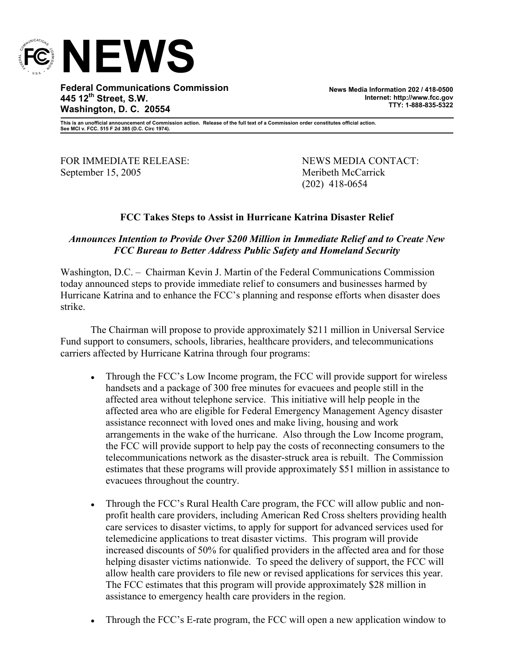

**Federal Communications Commission 445 12th Street, S.W. Washington, D. C. 20554** 

**News Media Information 202 / 418-0500 Internet: http://www.fcc.gov TTY: 1-888-835-5322**

**This is an unofficial announcement of Commission action. Release of the full text of a Commission order constitutes official action. See MCI v. FCC. 515 F 2d 385 (D.C. Circ 1974).** 

FOR IMMEDIATE RELEASE: NEWS MEDIA CONTACT: September 15, 2005 Meribeth McCarrick

(202) 418-0654

## **FCC Takes Steps to Assist in Hurricane Katrina Disaster Relief**

## *Announces Intention to Provide Over \$200 Million in Immediate Relief and to Create New FCC Bureau to Better Address Public Safety and Homeland Security*

Washington, D.C. – Chairman Kevin J. Martin of the Federal Communications Commission today announced steps to provide immediate relief to consumers and businesses harmed by Hurricane Katrina and to enhance the FCC's planning and response efforts when disaster does strike.

The Chairman will propose to provide approximately \$211 million in Universal Service Fund support to consumers, schools, libraries, healthcare providers, and telecommunications carriers affected by Hurricane Katrina through four programs:

- Through the FCC's Low Income program, the FCC will provide support for wireless handsets and a package of 300 free minutes for evacuees and people still in the affected area without telephone service. This initiative will help people in the affected area who are eligible for Federal Emergency Management Agency disaster assistance reconnect with loved ones and make living, housing and work arrangements in the wake of the hurricane. Also through the Low Income program, the FCC will provide support to help pay the costs of reconnecting consumers to the telecommunications network as the disaster-struck area is rebuilt. The Commission estimates that these programs will provide approximately \$51 million in assistance to evacuees throughout the country.
- Through the FCC's Rural Health Care program, the FCC will allow public and nonprofit health care providers, including American Red Cross shelters providing health care services to disaster victims, to apply for support for advanced services used for telemedicine applications to treat disaster victims. This program will provide increased discounts of 50% for qualified providers in the affected area and for those helping disaster victims nationwide. To speed the delivery of support, the FCC will allow health care providers to file new or revised applications for services this year. The FCC estimates that this program will provide approximately \$28 million in assistance to emergency health care providers in the region.
- Through the FCC's E-rate program, the FCC will open a new application window to